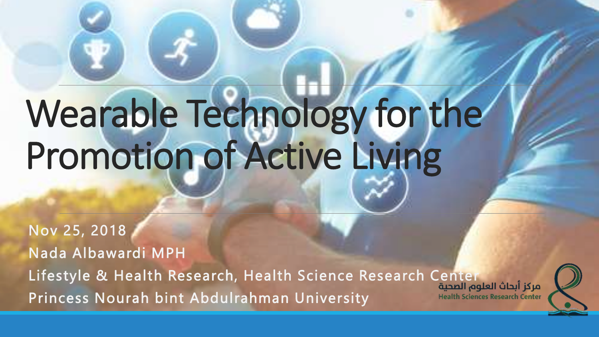# Wearable Technology for the Promotion of Active Living

Nov 25, 2018 Nada Albawardi MPH Lifestyle & Health Research, Health Science Research Center Princess Nourah bint Abdulrahman University**Health Sciences Research Center** 

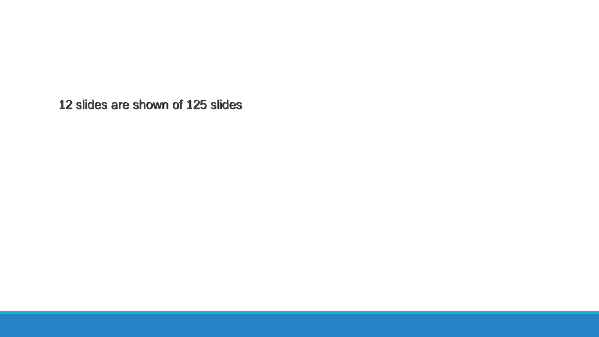12 slides are shown of 125 slides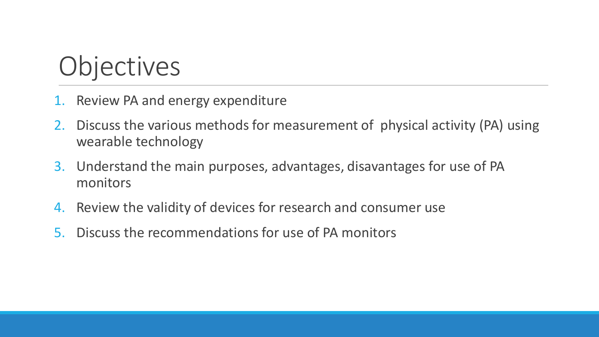## **Objectives**

- 1. Review PA and energy expenditure
- 2. Discuss the various methods for measurement of physical activity (PA) using wearable technology
- 3. Understand the main purposes, advantages, disavantages for use of PA monitors
- 4. Review the validity of devices for research and consumer use
- 5. Discuss the recommendations for use of PA monitors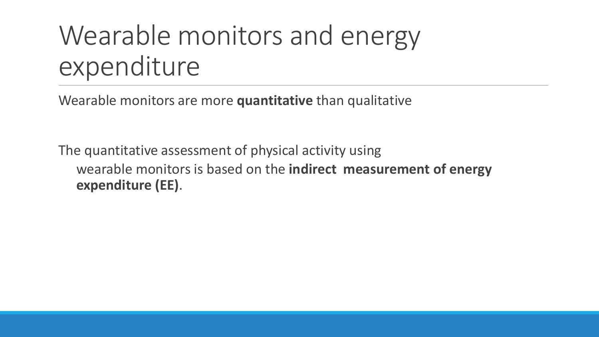## Wearable monitors and energy expenditure

Wearable monitors are more **quantitative** than qualitative

The quantitative assessment of physical activity using wearable monitors is based on the **indirect measurement of energy expenditure (EE)**.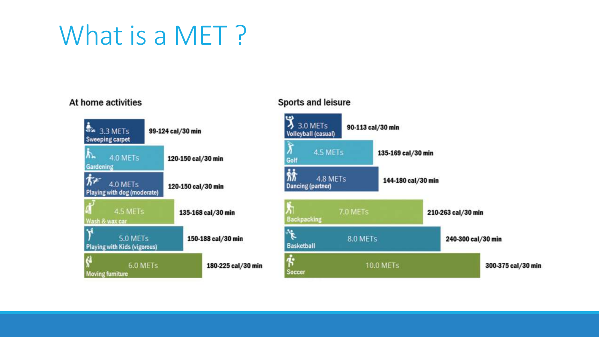## What is a MET?

#### At home activities



Sports and leisure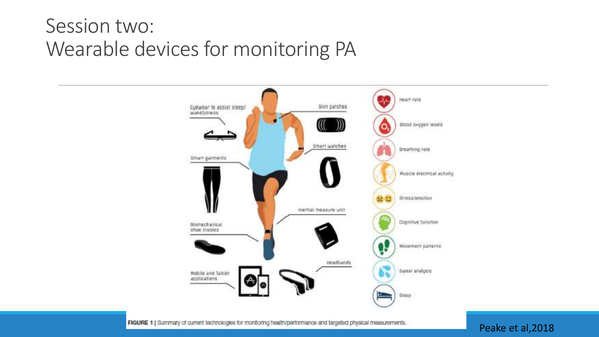#### Session two: Wearable devices for monitoring PA



FIGURE 1 | Summary of current technologies for monitoring health/performance and targeted physical measurements.

#### Peake et al,2018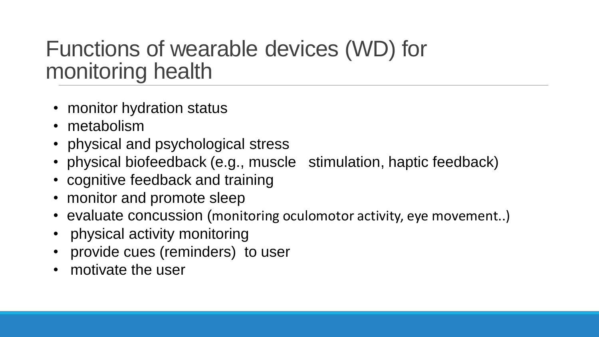### Functions of wearable devices (WD) for monitoring health

- monitor hydration status
- metabolism
- physical and psychological stress
- physical biofeedback (e.g., muscle stimulation, haptic feedback)
- cognitive feedback and training
- monitor and promote sleep
- evaluate concussion (monitoring oculomotor activity, eye movement..)
- physical activity monitoring
- provide cues (reminders) to user
- motivate the user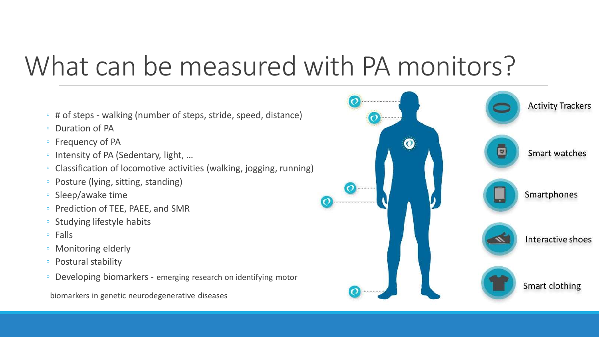## What can be measured with PA monitors?

- # of steps walking (number of steps, stride, speed, distance)
- Duration of PA
- Frequency of PA
- Intensity of PA (Sedentary, light, …
- Classification of locomotive activities (walking, jogging, running)
- Posture (lying, sitting, standing)
- Sleep/awake time
- Prediction of TEE, PAEE, and SMR
- Studying lifestyle habits
- Falls
- Monitoring elderly
- Postural stability
- Developing biomarkers emerging research on identifying motor

biomarkers in genetic neurodegenerative diseases

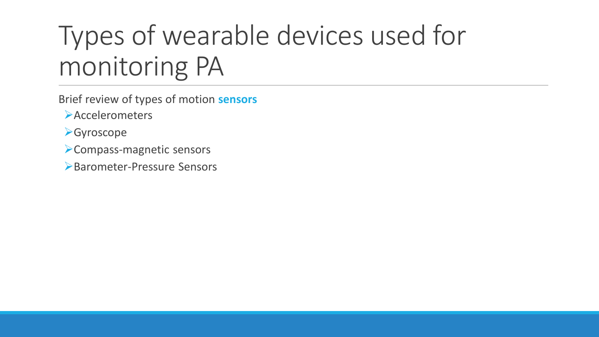## Types of wearable devices used for monitoring PA

- Brief review of types of motion **sensors**
	- **Accelerometers**
- **≻Gyroscope**
- Compass-magnetic sensors
- Barometer-Pressure Sensors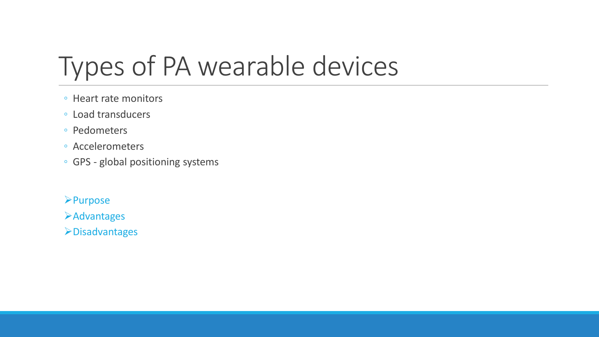## Types of PA wearable devices

- Heart rate monitors
- Load transducers
- Pedometers
- Accelerometers
- GPS global positioning systems

**Purpose** 

**Example 2** 

Disadvantages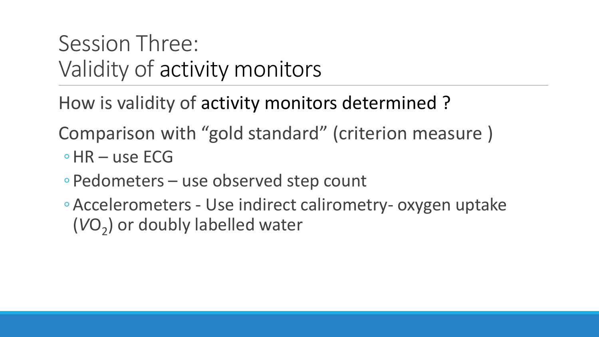### Session Three: Validity of activity monitors

How is validity of activity monitors determined ?

Comparison with "gold standard" (criterion measure )

- ◦HR use ECG
- ◦Pedometers use observed step count
- ◦Accelerometers Use indirect calirometry- oxygen uptake (VO<sub>2</sub>) or doubly labelled water